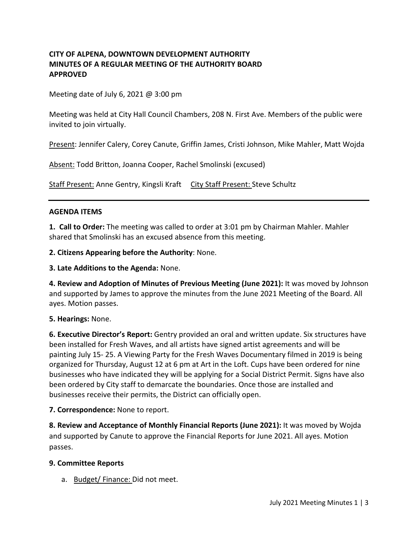### **CITY OF ALPENA, DOWNTOWN DEVELOPMENT AUTHORITY MINUTES OF A REGULAR MEETING OF THE AUTHORITY BOARD APPROVED**

Meeting date of July 6, 2021  $\omega$  3:00 pm

Meeting was held at City Hall Council Chambers, 208 N. First Ave. Members of the public were invited to join virtually.

Present: Jennifer Calery, Corey Canute, Griffin James, Cristi Johnson, Mike Mahler, Matt Wojda

Absent: Todd Britton, Joanna Cooper, Rachel Smolinski (excused)

Staff Present: Anne Gentry, Kingsli Kraft City Staff Present: Steve Schultz

### **AGENDA ITEMS**

**1. Call to Order:** The meeting was called to order at 3:01 pm by Chairman Mahler. Mahler shared that Smolinski has an excused absence from this meeting.

**2. Citizens Appearing before the Authority**: None.

**3. Late Additions to the Agenda:** None.

**4. Review and Adoption of Minutes of Previous Meeting (June 2021):** It was moved by Johnson and supported by James to approve the minutes from the June 2021 Meeting of the Board. All ayes. Motion passes.

**5. Hearings:** None.

**6. Executive Director's Report:** Gentry provided an oral and written update. Six structures have been installed for Fresh Waves, and all artists have signed artist agreements and will be painting July 15- 25. A Viewing Party for the Fresh Waves Documentary filmed in 2019 is being organized for Thursday, August 12 at 6 pm at Art in the Loft. Cups have been ordered for nine businesses who have indicated they will be applying for a Social District Permit. Signs have also been ordered by City staff to demarcate the boundaries. Once those are installed and businesses receive their permits, the District can officially open.

**7. Correspondence:** None to report.

**8. Review and Acceptance of Monthly Financial Reports (June 2021):** It was moved by Wojda and supported by Canute to approve the Financial Reports for June 2021. All ayes. Motion passes.

### **9. Committee Reports**

a. Budget/ Finance: Did not meet.